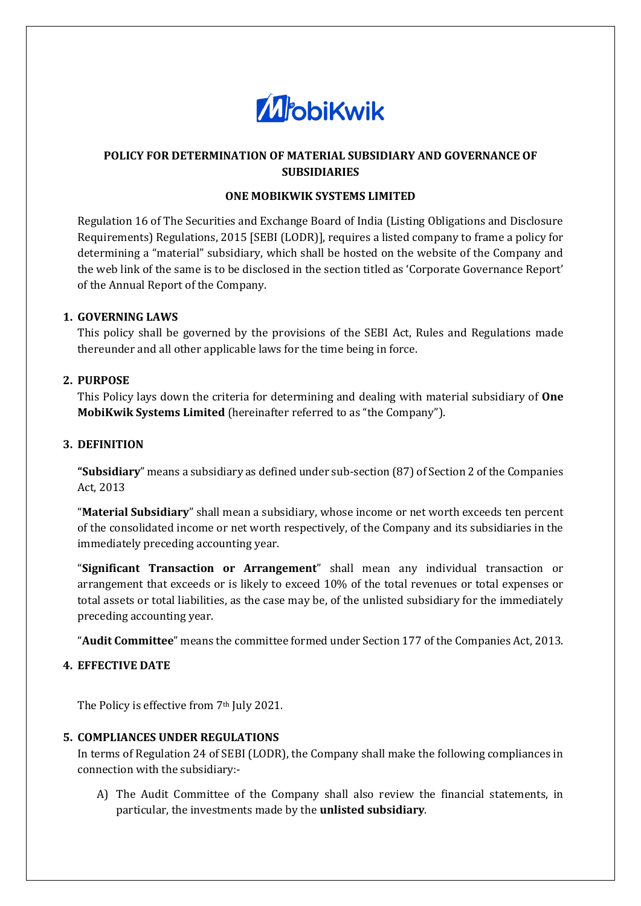

# **POLICY FOR DETERMINATION OF MATERIAL SUBSIDIARY AND GOVERNANCE OF SUBSIDIARIES**

## **ONE MOBIKWIK SYSTEMS LIMITED**

Regulation 16 of The Securities and Exchange Board of India (Listing Obligations and Disclosure Requirements) Regulations, 2015 [SEBI (LODR)], requires a listed company to frame a policy for determining a "material" subsidiary, which shall be hosted on the website of the Company and the web link of the same is to be disclosed in the section titled as 'Corporate Governance Report' of the Annual Report of the Company.

## **1. GOVERNING LAWS**

This policy shall be governed by the provisions of the SEBI Act, Rules and Regulations made thereunder and all other applicable laws for the time being in force.

### **2. PURPOSE**

This Policy lays down the criteria for determining and dealing with material subsidiary of **One MobiKwik Systems Limited** (hereinafter referred to as "the Company").

### **3. DEFINITION**

**"Subsidiary**" means a subsidiary as defined under sub-section (87) of Section 2 of the Companies Act, 2013

"**Material Subsidiary**" shall mean a subsidiary, whose income or net worth exceeds ten percent of the consolidated income or net worth respectively, of the Company and its subsidiaries in the immediately preceding accounting year.

"**Significant Transaction or Arrangement**" shall mean any individual transaction or arrangement that exceeds or is likely to exceed 10% of the total revenues or total expenses or total assets or total liabilities, as the case may be, of the unlisted subsidiary for the immediately preceding accounting year.

"**Audit Committee**" means the committee formed under Section 177 of the Companies Act, 2013.

## **4. EFFECTIVE DATE**

The Policy is effective from 7<sup>th</sup> July 2021.

## **5. COMPLIANCES UNDER REGULATIONS**

In terms of Regulation 24 of SEBI (LODR), the Company shall make the following compliances in connection with the subsidiary:-

A) The Audit Committee of the Company shall also review the financial statements, in particular, the investments made by the **unlisted subsidiary**.